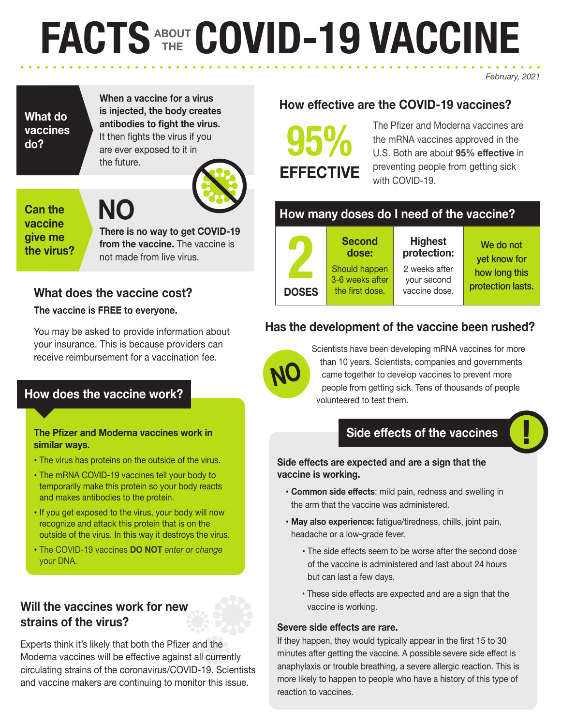# **FACTS ABOUT THE COVID-19 VACCINE**

**When a vaccine for a virus is injected, the body creates** 

**antibodies to fight the virus.** It then fights the virus if you are ever exposed to it in the future.



## **Can the vaccine give me the virus?**

**What do vaccines** 

**do?**

**There is no way to get COVID-19 from the vaccine.** The vaccine is not made from live virus.

# **What does the vaccine cost?**

**NO**

## **The vaccine is FREE to everyone.**

You may be asked to provide information about your insurance. This is because providers can receive reimbursement for a vaccination fee.

# **How does the vaccine work?**

**The Pfizer and Moderna vaccines work in similar ways.** 

- The virus has proteins on the outside of the virus.
- The mRNA COVID-19 vaccines tell your body to temporarily make this protein so your body reacts and makes antibodies to the protein.
- If you get exposed to the virus, your body will now recognize and attack this protein that is on the outside of the virus. In this way it destroys the virus.
- The COVID-19 vaccines **DO NOT** *enter or change* your DNA.

# **Will the vaccines work for new strains of the virus?**

Experts think it's likely that both the Pfizer and the Moderna vaccines will be effective against all currently circulating strains of the coronavirus/COVID-19. Scientists and vaccine makers are continuing to monitor this issue.

# **How effective are the COVID-19 vaccines?**

**95% EFFECTIVE** The Pfizer and Moderna vaccines are the mRNA vaccines approved in the U.S. Both are about **95% effective** in preventing people from getting sick with COVID-19.

# **How many doses do I need of the vaccine?**

**Second dose:**

**2 DOSES**

**NO**

Should happen 3-6 weeks after the first dose. **Highest protection:** 2 weeks after your second vaccine dose.

We do not yet know for how long this protection lasts.

*February, 2021*

# **Has the development of the vaccine been rushed?**

Scientists have been developing mRNA vaccines for more than 10 years. Scientists, companies and governments came together to develop vaccines to prevent more people from getting sick. Tens of thousands of people volunteered to test them.

# **Side effects of the vaccines**

#### **Side effects are expected and are a sign that the vaccine is working.**

- **Common side effects**: mild pain, redness and swelling in the arm that the vaccine was administered.
- **May also experience:** fatigue/tiredness, chills, joint pain, headache or a low-grade fever.
	- The side effects seem to be worse after the second dose of the vaccine is administered and last about 24 hours but can last a few days.
	- These side effects are expected and are a sign that the vaccine is working.

#### **Severe side effects are rare.**

If they happen, they would typically appear in the first 15 to 30 minutes after getting the vaccine. A possible severe side effect is anaphylaxis or trouble breathing, a severe allergic reaction. This is more likely to happen to people who have a history of this type of reaction to vaccines.